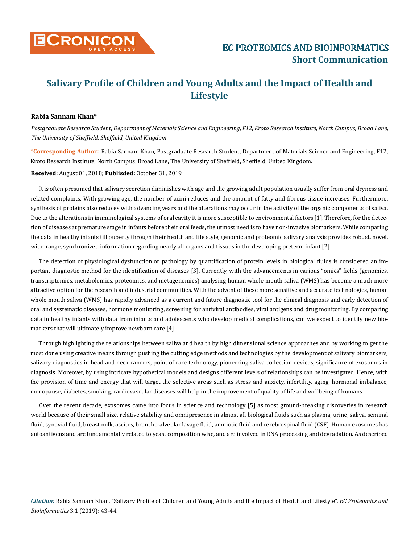

## **Salivary Profile of Children and Young Adults and the Impact of Health and Lifestyle**

## **Rabia Sannam Khan\***

*Postgraduate Research Student, Department of Materials Science and Engineering, F12, Kroto Research Institute, North Campus, Broad Lane, The University of Sheffield, Sheffield, United Kingdom*

**\*Corresponding Author**: Rabia Sannam Khan, Postgraduate Research Student, Department of Materials Science and Engineering, F12, Kroto Research Institute, North Campus, Broad Lane, The University of Sheffield, Sheffield, United Kingdom.

**Received:** August 01, 2018; **Publisded:** October 31, 2019

It is often presumed that salivary secretion diminishes with age and the growing adult population usually suffer from oral dryness and related complaints. With growing age, the number of acini reduces and the amount of fatty and fibrous tissue increases. Furthermore, synthesis of proteins also reduces with advancing years and the alterations may occur in the activity of the organic components of saliva. Due to the alterations in immunological systems of oral cavity it is more susceptible to environmental factors [1]. Therefore, for the detection of diseases at premature stage in infants before their oral feeds, the utmost need is to have non-invasive biomarkers. While comparing the data in healthy infants till puberty through their health and life style, genomic and proteomic salivary analysis provides robust, novel, wide-range, synchronized information regarding nearly all organs and tissues in the developing preterm infant [2].

The detection of physiological dysfunction or pathology by quantification of protein levels in biological fluids is considered an important diagnostic method for the identification of diseases [3]. Currently, with the advancements in various "omics" fields (genomics, transcriptomics, metabolomics, proteomics, and metagenomics) analysing human whole mouth saliva (WMS) has become a much more attractive option for the research and industrial communities. With the advent of these more sensitive and accurate technologies, human whole mouth saliva (WMS) has rapidly advanced as a current and future diagnostic tool for the clinical diagnosis and early detection of oral and systematic diseases, hormone monitoring, screening for antiviral antibodies, viral antigens and drug monitoring. By comparing data in healthy infants with data from infants and adolescents who develop medical complications, can we expect to identify new biomarkers that will ultimately improve newborn care [4].

Through highlighting the relationships between saliva and health by high dimensional science approaches and by working to get the most done using creative means through pushing the cutting edge methods and technologies by the development of salivary biomarkers, salivary diagnostics in head and neck cancers, point of care technology, pioneering saliva collection devices, significance of exosomes in diagnosis. Moreover, by using intricate hypothetical models and designs different levels of relationships can be investigated. Hence, with the provision of time and energy that will target the selective areas such as stress and anxiety, infertility, aging, hormonal imbalance, menopause, diabetes, smoking, cardiovascular diseases will help in the improvement of quality of life and wellbeing of humans.

Over the recent decade, exosomes came into focus in science and technology [5] as most ground-breaking discoveries in research world because of their small size, relative stability and omnipresence in almost all biological fluids such as plasma, urine, saliva, seminal fluid, synovial fluid, breast milk, ascites, broncho-alveolar lavage fluid, amniotic fluid and cerebrospinal fluid (CSF). Human exosomes has autoantigens and are fundamentally related to yeast composition wise, and are involved in RNA processing and degradation. As described

*Citation:* Rabia Sannam Khan. "Salivary Profile of Children and Young Adults and the Impact of Health and Lifestyle". *EC Proteomics and Bioinformatics* 3.1 (2019): 43-44.